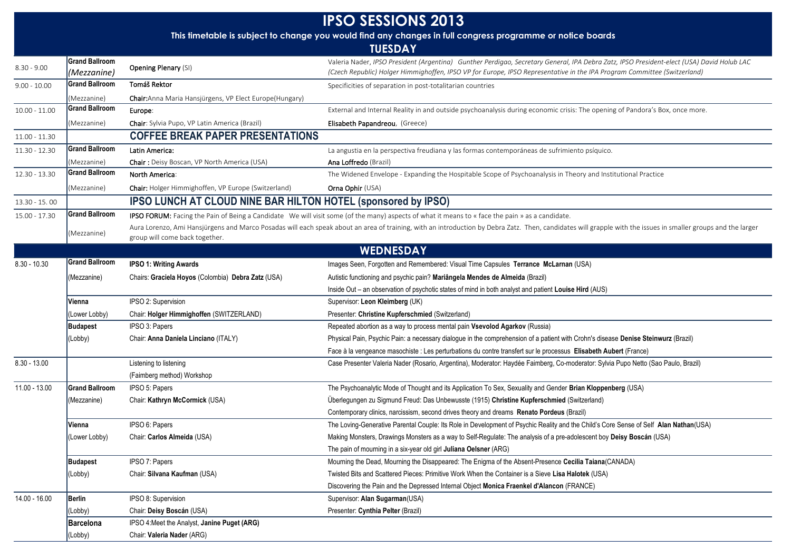| <b>IPSO SESSIONS 2013</b> |                                      |                                                               |                                                                                                                                                                                                                                                                       |  |
|---------------------------|--------------------------------------|---------------------------------------------------------------|-----------------------------------------------------------------------------------------------------------------------------------------------------------------------------------------------------------------------------------------------------------------------|--|
|                           |                                      |                                                               | This timetable is subject to change you would find any changes in full congress programme or notice boards                                                                                                                                                            |  |
| <b>TUESDAY</b>            |                                      |                                                               |                                                                                                                                                                                                                                                                       |  |
| $8.30 - 9.00$             | <b>Grand Ballroom</b><br>(Mezzanine) | <b>Opening Plenary (SI)</b>                                   | Valeria Nader, IPSO President (Argentina) Gunther Perdigao, Secretary General, IPA Debra Zatz, IPSO President-elect (USA) David Holub LAC<br>(Czech Republic) Holger Himmighoffen, IPSO VP for Europe, IPSO Representative in the IPA Program Committee (Switzerland) |  |
| $9.00 - 10.00$            | <b>Grand Ballroom</b>                | Tomáš Rektor                                                  | Specificities of separation in post-totalitarian countries                                                                                                                                                                                                            |  |
|                           | (Mezzanine)                          | Chair: Anna Maria Hansjürgens, VP Elect Europe (Hungary)      |                                                                                                                                                                                                                                                                       |  |
| $10.00 - 11.00$           | <b>Grand Ballroom</b>                | Europe:                                                       | External and Internal Reality in and outside psychoanalysis during economic crisis: The opening of Pandora's Box, once more.                                                                                                                                          |  |
|                           | (Mezzanine)                          | Chair: Sylvia Pupo, VP Latin America (Brazil)                 | Elisabeth Papandreou, (Greece)                                                                                                                                                                                                                                        |  |
| $11.00 - 11.30$           |                                      | <b>COFFEE BREAK PAPER PRESENTATIONS</b>                       |                                                                                                                                                                                                                                                                       |  |
| 11.30 - 12.30             | <b>Grand Ballroom</b>                | Latin America:                                                | La angustia en la perspectiva freudiana y las formas contemporáneas de sufrimiento psíquico.                                                                                                                                                                          |  |
|                           | (Mezzanine)                          | Chair: Deisy Boscan, VP North America (USA)                   | Ana Loffredo (Brazil)                                                                                                                                                                                                                                                 |  |
| 12.30 - 13.30             | <b>Grand Ballroom</b>                | North America:                                                | The Widened Envelope - Expanding the Hospitable Scope of Psychoanalysis in Theory and Institutional Practice                                                                                                                                                          |  |
|                           | (Mezzanine)                          | Chair: Holger Himmighoffen, VP Europe (Switzerland)           | <b>Orna Ophir (USA)</b>                                                                                                                                                                                                                                               |  |
| 13.30 - 15.00             |                                      | IPSO LUNCH AT CLOUD NINE BAR HILTON HOTEL (sponsored by IPSO) |                                                                                                                                                                                                                                                                       |  |
| 15.00 - 17.30             | <b>Grand Ballroom</b>                |                                                               | IPSO FORUM: Facing the Pain of Being a Candidate We will visit some (of the many) aspects of what it means to « face the pain » as a candidate.                                                                                                                       |  |
|                           | (Mezzanine)                          | group will come back together.                                | Aura Lorenzo, Ami Hansjürgens and Marco Posadas will each speak about an area of training, with an introduction by Debra Zatz. Then, candidates will grapple with the issues in smaller groups and the larger                                                         |  |
|                           |                                      |                                                               | <b>WEDNESDAY</b>                                                                                                                                                                                                                                                      |  |
| $8.30 - 10.30$            | <b>Grand Ballroom</b>                | <b>IPSO 1: Writing Awards</b>                                 | Images Seen, Forgotten and Remembered: Visual Time Capsules Terrance McLarnan (USA)                                                                                                                                                                                   |  |
|                           | (Mezzanine)                          | Chairs: Graciela Hoyos (Colombia) Debra Zatz (USA)            | Autistic functioning and psychic pain? Mariângela Mendes de Almeida (Brazil)                                                                                                                                                                                          |  |
|                           |                                      |                                                               | Inside Out - an observation of psychotic states of mind in both analyst and patient Louise Hird (AUS)                                                                                                                                                                 |  |
|                           | Vienna                               | IPSO 2: Supervision                                           | Supervisor: Leon Kleimberg (UK)                                                                                                                                                                                                                                       |  |
|                           | (Lower Lobby)                        | Chair: Holger Himmighoffen (SWITZERLAND)                      | Presenter: Christine Kupferschmied (Switzerland)                                                                                                                                                                                                                      |  |
|                           | <b>Budapest</b>                      | IPSO 3: Papers                                                | Repeated abortion as a way to process mental pain Vsevolod Agarkov (Russia)                                                                                                                                                                                           |  |
|                           | (Lobby)                              | Chair: Anna Daniela Linciano (ITALY)                          | Physical Pain, Psychic Pain: a necessary dialogue in the comprehension of a patient with Crohn's disease Denise Steinwurz (Brazil)                                                                                                                                    |  |
|                           |                                      |                                                               | Face à la vengeance masochiste : Les perturbations du contre transfert sur le processus Elisabeth Aubert (France)                                                                                                                                                     |  |
| $8.30 - 13.00$            |                                      | Listening to listening                                        | Case Presenter Valeria Nader (Rosario, Argentina), Moderator: Haydée Faimberg, Co-moderator: Sylvia Pupo Netto (Sao Paulo, Brazil)                                                                                                                                    |  |
|                           |                                      | (Faimberg method) Workshop                                    |                                                                                                                                                                                                                                                                       |  |
| 11.00 - 13.00             | <b>Grand Ballroom</b>                | IPSO 5: Papers                                                | The Psychoanalytic Mode of Thought and its Application To Sex, Sexuality and Gender Brian Kloppenberg (USA)                                                                                                                                                           |  |
|                           | (Mezzanine)                          | Chair: Kathryn McCormick (USA)                                | Überlegungen zu Sigmund Freud: Das Unbewusste (1915) Christine Kupferschmied (Switzerland)                                                                                                                                                                            |  |
|                           |                                      |                                                               | Contemporary clinics, narcissism, second drives theory and dreams Renato Pordeus (Brazil)                                                                                                                                                                             |  |
|                           | Vienna                               | IPSO 6: Papers                                                | The Loving-Generative Parental Couple: Its Role in Development of Psychic Reality and the Child's Core Sense of Self Alan Nathan(USA)                                                                                                                                 |  |
|                           | (Lower Lobby)                        | Chair: Carlos Almeida (USA)                                   | Making Monsters, Drawings Monsters as a way to Self-Regulate: The analysis of a pre-adolescent boy Deisy Boscán (USA)                                                                                                                                                 |  |
|                           |                                      |                                                               | The pain of mourning in a six-year old girl Juliana Oelsner (ARG)                                                                                                                                                                                                     |  |
|                           | Budapest                             | IPSO 7: Papers                                                | Mourning the Dead, Mourning the Disappeared: The Enigma of the Absent-Presence Cecilia Taiana(CANADA)                                                                                                                                                                 |  |
|                           | (Lobby)                              | Chair: Silvana Kaufman (USA)                                  | Twisted Bits and Scattered Pieces: Primitive Work When the Container is a Sieve Lisa Halotek (USA)                                                                                                                                                                    |  |
|                           |                                      |                                                               | Discovering the Pain and the Depressed Internal Object Monica Fraenkel d'Alancon (FRANCE)                                                                                                                                                                             |  |
| 14.00 - 16.00             | <b>Berlin</b>                        | IPSO 8: Supervision                                           | Supervisor: Alan Sugarman(USA)                                                                                                                                                                                                                                        |  |
|                           | (Lobby)                              | Chair: Deisy Boscán (USA)                                     | Presenter: Cynthia Pelter (Brazil)                                                                                                                                                                                                                                    |  |
|                           | Barcelona                            | IPSO 4: Meet the Analyst, Janine Puget (ARG)                  |                                                                                                                                                                                                                                                                       |  |
|                           | (Lobby)                              | Chair: Valeria Nader (ARG)                                    |                                                                                                                                                                                                                                                                       |  |